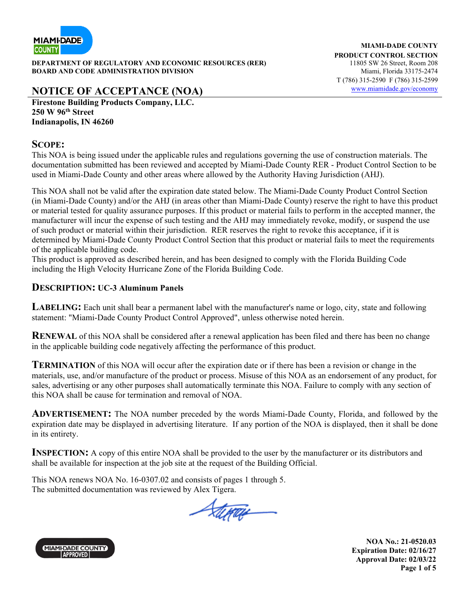

**DEPARTMENT OF REGULATORY AND ECONOMIC RESOURCES (RER)** 11805 SW 26 Street, Room 208 **BOARD AND CODE ADMINISTRATION DIVISION Miami, Florida 33175-2474** 

**MIAMI-DADE COUNTY PRODUCT CONTROL SECTION**  T (786) 315-2590 F (786) 315-2599

# **NOTICE OF ACCEPTANCE (NOA)** www.miamidade.gov/economy

**Firestone Building Products Company, LLC. 250 W 96th Street Indianapolis, IN 46260** 

#### **SCOPE:**

This NOA is being issued under the applicable rules and regulations governing the use of construction materials. The documentation submitted has been reviewed and accepted by Miami-Dade County RER - Product Control Section to be used in Miami-Dade County and other areas where allowed by the Authority Having Jurisdiction (AHJ).

This NOA shall not be valid after the expiration date stated below. The Miami-Dade County Product Control Section (in Miami-Dade County) and/or the AHJ (in areas other than Miami-Dade County) reserve the right to have this product or material tested for quality assurance purposes. If this product or material fails to perform in the accepted manner, the manufacturer will incur the expense of such testing and the AHJ may immediately revoke, modify, or suspend the use of such product or material within their jurisdiction. RER reserves the right to revoke this acceptance, if it is determined by Miami-Dade County Product Control Section that this product or material fails to meet the requirements of the applicable building code.

This product is approved as described herein, and has been designed to comply with the Florida Building Code including the High Velocity Hurricane Zone of the Florida Building Code.

#### **DESCRIPTION: UC-3 Aluminum Panels**

LABELING: Each unit shall bear a permanent label with the manufacturer's name or logo, city, state and following statement: "Miami-Dade County Product Control Approved", unless otherwise noted herein.

**RENEWAL** of this NOA shall be considered after a renewal application has been filed and there has been no change in the applicable building code negatively affecting the performance of this product.

**TERMINATION** of this NOA will occur after the expiration date or if there has been a revision or change in the materials, use, and/or manufacture of the product or process. Misuse of this NOA as an endorsement of any product, for sales, advertising or any other purposes shall automatically terminate this NOA. Failure to comply with any section of this NOA shall be cause for termination and removal of NOA.

**ADVERTISEMENT:** The NOA number preceded by the words Miami-Dade County, Florida, and followed by the expiration date may be displayed in advertising literature. If any portion of the NOA is displayed, then it shall be done in its entirety.

**INSPECTION:** A copy of this entire NOA shall be provided to the user by the manufacturer or its distributors and shall be available for inspection at the job site at the request of the Building Official.

This NOA renews NOA No. 16-0307.02 and consists of pages 1 through 5. The submitted documentation was reviewed by Alex Tigera.

Stepan



**NOA No.: 21-0520.03 Expiration Date: 02/16/27 Approval Date: 02/03/22 Page 1 of 5**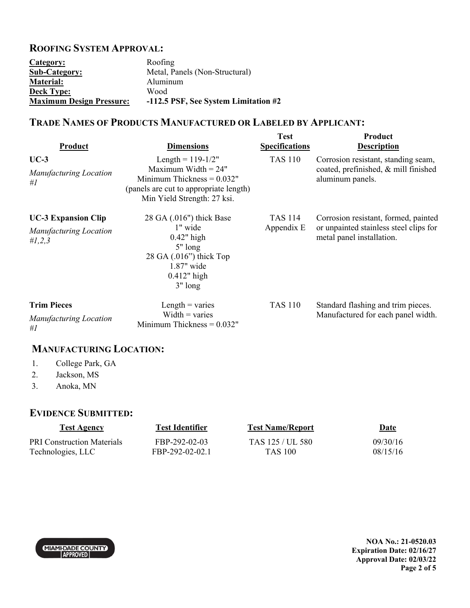### **ROOFING SYSTEM APPROVAL:**

| Category:                       | Roofing                              |
|---------------------------------|--------------------------------------|
| <b>Sub-Category:</b>            | Metal, Panels (Non-Structural)       |
| <b>Material:</b>                | Aluminum                             |
| <b>Deck Type:</b>               | Wood                                 |
| <b>Maximum Design Pressure:</b> | -112.5 PSF, See System Limitation #2 |

# **TRADE NAMES OF PRODUCTS MANUFACTURED OR LABELED BY APPLICANT:**

| Product                                                                  | <b>Dimensions</b>                                                                                                                                     | <b>Test</b><br><b>Specifications</b> | Product<br><b>Description</b>                                                                               |
|--------------------------------------------------------------------------|-------------------------------------------------------------------------------------------------------------------------------------------------------|--------------------------------------|-------------------------------------------------------------------------------------------------------------|
| $UC-3$<br><b>Manufacturing Location</b><br>#I                            | Length = $119-1/2"$<br>Maximum Width $= 24"$<br>Minimum Thickness $= 0.032"$<br>(panels are cut to appropriate length)<br>Min Yield Strength: 27 ksi. | <b>TAS 110</b>                       | Corrosion resistant, standing seam,<br>coated, prefinished, & mill finished<br>aluminum panels.             |
| <b>UC-3 Expansion Clip</b><br><b>Manufacturing Location</b><br># $1,2,3$ | 28 GA (.016") thick Base<br>1" wide<br>$0.42$ " high<br>$5"$ long<br>28 GA $(.016")$ thick Top<br>$1.87"$ wide<br>$0.412"$ high<br>$3"$ long          | <b>TAS 114</b><br>Appendix E         | Corrosion resistant, formed, painted<br>or unpainted stainless steel clips for<br>metal panel installation. |
| <b>Trim Pieces</b><br><b>Manufacturing Location</b><br>#I                | Length $=$ varies<br>Width $=$ varies<br>Minimum Thickness $= 0.032"$                                                                                 | <b>TAS 110</b>                       | Standard flashing and trim pieces.<br>Manufactured for each panel width.                                    |

## **MANUFACTURING LOCATION:**

- 1. College Park, GA
- 2. Jackson, MS
- 3. Anoka, MN

### **EVIDENCE SUBMITTED:**

| <u>Test Agency</u>                | <b>Test Identifier</b> | <b>Test Name/Report</b> | <u>Date</u> |
|-----------------------------------|------------------------|-------------------------|-------------|
| <b>PRI Construction Materials</b> | FBP-292-02-03          | TAS 125 / UL 580        | 09/30/16    |
| Technologies, LLC                 | FBP-292-02-02.1        | TAS 100                 | 08/15/16    |



**NOA No.: 21-0520.03 Expiration Date: 02/16/27 Approval Date: 02/03/22 Page 2 of 5**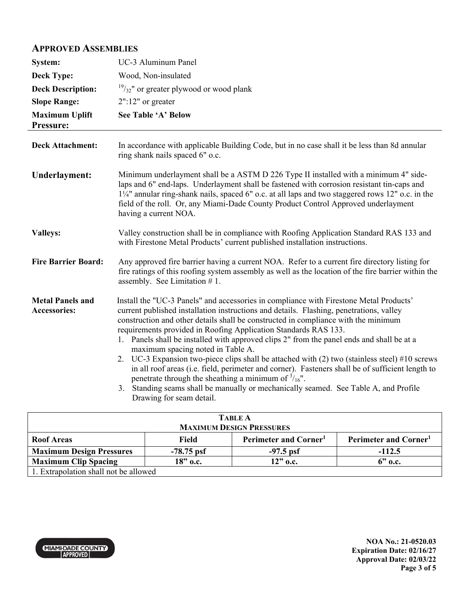## **APPROVED ASSEMBLIES**

| System:                                        | UC-3 Aluminum Panel                                                                                                                                                                                                                                                                                                                                                                                                                                                                                                                                                                                                                                                                                                                                                                                                                                                     |
|------------------------------------------------|-------------------------------------------------------------------------------------------------------------------------------------------------------------------------------------------------------------------------------------------------------------------------------------------------------------------------------------------------------------------------------------------------------------------------------------------------------------------------------------------------------------------------------------------------------------------------------------------------------------------------------------------------------------------------------------------------------------------------------------------------------------------------------------------------------------------------------------------------------------------------|
| <b>Deck Type:</b>                              | Wood, Non-insulated                                                                                                                                                                                                                                                                                                                                                                                                                                                                                                                                                                                                                                                                                                                                                                                                                                                     |
| <b>Deck Description:</b>                       | $\frac{19}{32}$ " or greater plywood or wood plank                                                                                                                                                                                                                                                                                                                                                                                                                                                                                                                                                                                                                                                                                                                                                                                                                      |
| <b>Slope Range:</b>                            | $2"$ :12" or greater                                                                                                                                                                                                                                                                                                                                                                                                                                                                                                                                                                                                                                                                                                                                                                                                                                                    |
| <b>Maximum Uplift</b><br>Pressure:             | See Table 'A' Below                                                                                                                                                                                                                                                                                                                                                                                                                                                                                                                                                                                                                                                                                                                                                                                                                                                     |
| <b>Deck Attachment:</b>                        | In accordance with applicable Building Code, but in no case shall it be less than 8d annular<br>ring shank nails spaced 6" o.c.                                                                                                                                                                                                                                                                                                                                                                                                                                                                                                                                                                                                                                                                                                                                         |
| <b>Underlayment:</b>                           | Minimum underlayment shall be a ASTM D 226 Type II installed with a minimum 4" side-<br>laps and 6" end-laps. Underlayment shall be fastened with corrosion resistant tin-caps and<br>11/4" annular ring-shank nails, spaced 6" o.c. at all laps and two staggered rows 12" o.c. in the<br>field of the roll. Or, any Miami-Dade County Product Control Approved underlayment<br>having a current NOA.                                                                                                                                                                                                                                                                                                                                                                                                                                                                  |
| <b>Valleys:</b>                                | Valley construction shall be in compliance with Roofing Application Standard RAS 133 and<br>with Firestone Metal Products' current published installation instructions.                                                                                                                                                                                                                                                                                                                                                                                                                                                                                                                                                                                                                                                                                                 |
| <b>Fire Barrier Board:</b>                     | Any approved fire barrier having a current NOA. Refer to a current fire directory listing for<br>fire ratings of this roofing system assembly as well as the location of the fire barrier within the<br>assembly. See Limitation $# 1$ .                                                                                                                                                                                                                                                                                                                                                                                                                                                                                                                                                                                                                                |
| <b>Metal Panels and</b><br><b>Accessories:</b> | Install the "UC-3 Panels" and accessories in compliance with Firestone Metal Products'<br>current published installation instructions and details. Flashing, penetrations, valley<br>construction and other details shall be constructed in compliance with the minimum<br>requirements provided in Roofing Application Standards RAS 133.<br>1. Panels shall be installed with approved clips 2" from the panel ends and shall be at a<br>maximum spacing noted in Table A.<br>2. UC-3 Expansion two-piece clips shall be attached with (2) two (stainless steel) #10 screws<br>in all roof areas (i.e. field, perimeter and corner). Fasteners shall be of sufficient length to<br>penetrate through the sheathing a minimum of $\frac{3}{16}$ ".<br>3. Standing seams shall be manually or mechanically seamed. See Table A, and Profile<br>Drawing for seam detail. |

| <b>TABLE A</b><br><b>MAXIMUM DESIGN PRESSURES</b> |              |                                   |                                   |  |  |
|---------------------------------------------------|--------------|-----------------------------------|-----------------------------------|--|--|
| <b>Roof Areas</b>                                 | Field        | Perimeter and Corner <sup>1</sup> | Perimeter and Corner <sup>1</sup> |  |  |
| <b>Maximum Design Pressures</b>                   | $-78.75$ psf | $-97.5$ psf                       | $-112.5$                          |  |  |
| <b>Maximum Clip Spacing</b>                       | 18" o.c.     | $12"$ o.c.                        | $6"$ o.c.                         |  |  |
| 1. Extrapolation shall not be allowed             |              |                                   |                                   |  |  |

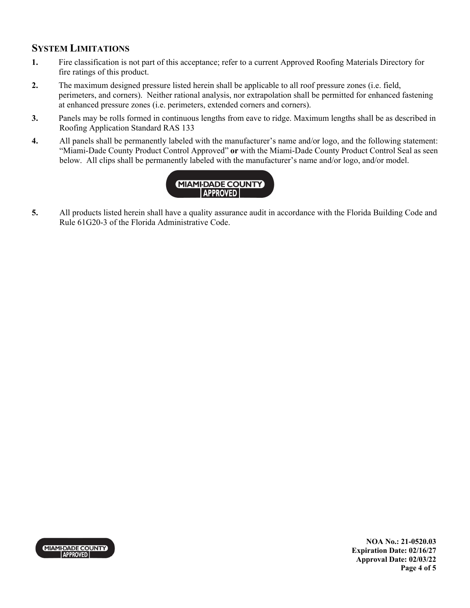## **SYSTEM LIMITATIONS**

- **1.** Fire classification is not part of this acceptance; refer to a current Approved Roofing Materials Directory for fire ratings of this product.
- **2.** The maximum designed pressure listed herein shall be applicable to all roof pressure zones (i.e. field, perimeters, and corners). Neither rational analysis, nor extrapolation shall be permitted for enhanced fastening at enhanced pressure zones (i.e. perimeters, extended corners and corners).
- **3.** Panels may be rolls formed in continuous lengths from eave to ridge. Maximum lengths shall be as described in Roofing Application Standard RAS 133
- **4.** All panels shall be permanently labeled with the manufacturer's name and/or logo, and the following statement: "Miami-Dade County Product Control Approved" **or** with the Miami-Dade County Product Control Seal as seen below. All clips shall be permanently labeled with the manufacturer's name and/or logo, and/or model.



**5.** All products listed herein shall have a quality assurance audit in accordance with the Florida Building Code and Rule 61G20-3 of the Florida Administrative Code.